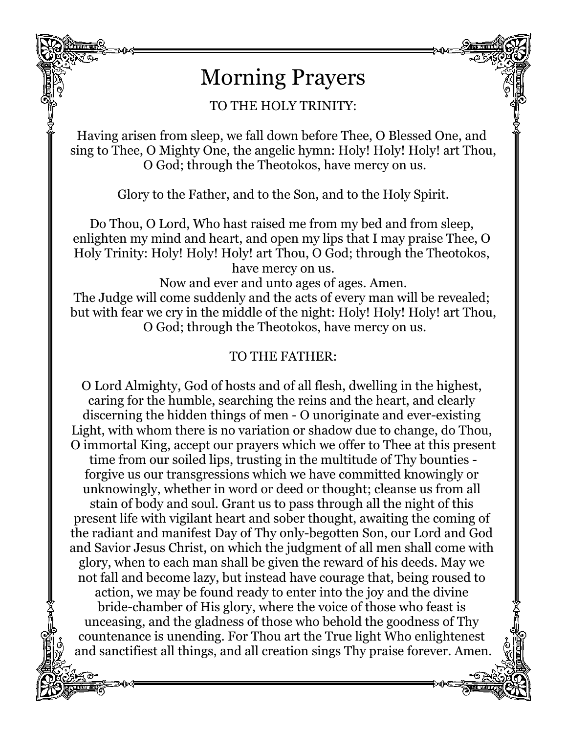# Morning Prayers

TO THE HOLY TRINITY:

Having arisen from sleep, we fall down before Thee, O Blessed One, and sing to Thee, O Mighty One, the angelic hymn: Holy! Holy! Holy! art Thou, O God; through the Theotokos, have mercy on us.

Glory to the Father, and to the Son, and to the Holy Spirit.

Do Thou, O Lord, Who hast raised me from my bed and from sleep, enlighten my mind and heart, and open my lips that I may praise Thee, O Holy Trinity: Holy! Holy! Holy! art Thou, O God; through the Theotokos, have mercy on us.

Now and ever and unto ages of ages. Amen. The Judge will come suddenly and the acts of every man will be revealed; but with fear we cry in the middle of the night: Holy! Holy! Holy! art Thou, O God; through the Theotokos, have mercy on us.

## TO THE FATHER:

O Lord Almighty, God of hosts and of all flesh, dwelling in the highest, caring for the humble, searching the reins and the heart, and clearly discerning the hidden things of men - O unoriginate and ever-existing Light, with whom there is no variation or shadow due to change, do Thou, O immortal King, accept our prayers which we offer to Thee at this present time from our soiled lips, trusting in the multitude of Thy bounties forgive us our transgressions which we have committed knowingly or unknowingly, whether in word or deed or thought; cleanse us from all stain of body and soul. Grant us to pass through all the night of this present life with vigilant heart and sober thought, awaiting the coming of the radiant and manifest Day of Thy only-begotten Son, our Lord and God and Savior Jesus Christ, on which the judgment of all men shall come with glory, when to each man shall be given the reward of his deeds. May we not fall and become lazy, but instead have courage that, being roused to action, we may be found ready to enter into the joy and the divine bride-chamber of His glory, where the voice of those who feast is unceasing, and the gladness of those who behold the goodness of Thy countenance is unending. For Thou art the True light Who enlightenest and sanctifiest all things, and all creation sings Thy praise forever. Amen.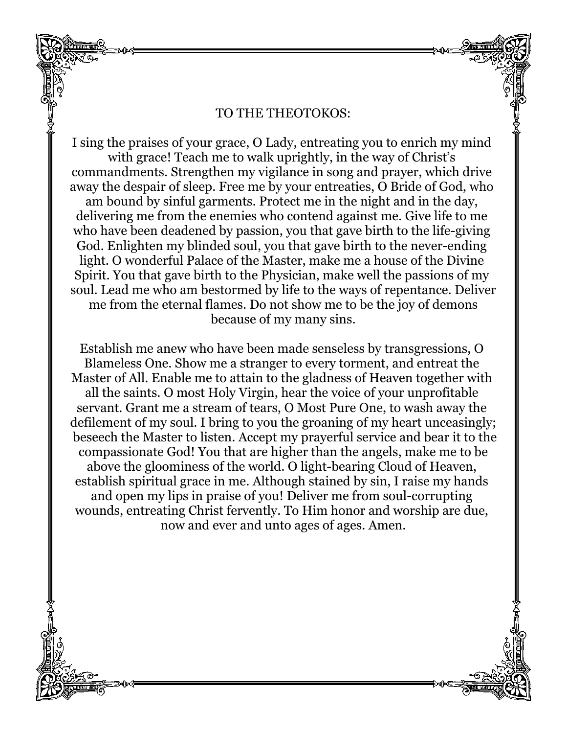#### TO THE THEOTOKOS:

I sing the praises of your grace, O Lady, entreating you to enrich my mind with grace! Teach me to walk uprightly, in the way of Christ's commandments. Strengthen my vigilance in song and prayer, which drive away the despair of sleep. Free me by your entreaties, O Bride of God, who am bound by sinful garments. Protect me in the night and in the day, delivering me from the enemies who contend against me. Give life to me who have been deadened by passion, you that gave birth to the life-giving God. Enlighten my blinded soul, you that gave birth to the never-ending light. O wonderful Palace of the Master, make me a house of the Divine Spirit. You that gave birth to the Physician, make well the passions of my soul. Lead me who am bestormed by life to the ways of repentance. Deliver me from the eternal flames. Do not show me to be the joy of demons because of my many sins.

Establish me anew who have been made senseless by transgressions, O Blameless One. Show me a stranger to every torment, and entreat the Master of All. Enable me to attain to the gladness of Heaven together with all the saints. O most Holy Virgin, hear the voice of your unprofitable servant. Grant me a stream of tears, O Most Pure One, to wash away the defilement of my soul. I bring to you the groaning of my heart unceasingly; beseech the Master to listen. Accept my prayerful service and bear it to the compassionate God! You that are higher than the angels, make me to be above the gloominess of the world. O light-bearing Cloud of Heaven, establish spiritual grace in me. Although stained by sin, I raise my hands and open my lips in praise of you! Deliver me from soul-corrupting wounds, entreating Christ fervently. To Him honor and worship are due, now and ever and unto ages of ages. Amen.